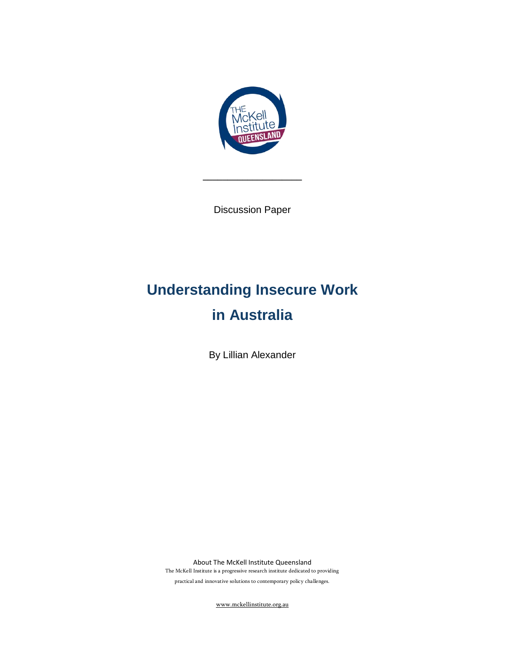

Discussion Paper

**\_\_\_\_\_\_\_\_\_\_\_\_\_\_\_\_\_\_\_\_**

# **Understanding Insecure Work in Australia**

By Lillian Alexander

About The McKell Institute Queensland The McKell Institute is a progressive research institute dedicated to providing

practical and innovative solutions to contemporary policy challenges.

[www.mckellinstitute.org.au](http://www.mckellinstitute.org.au/)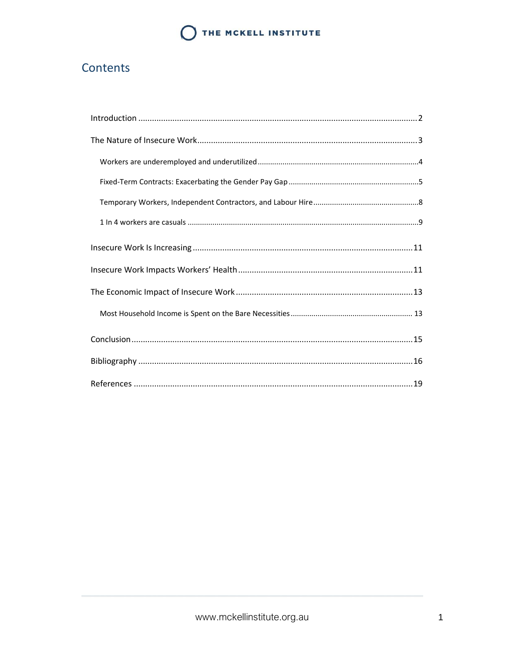### Contents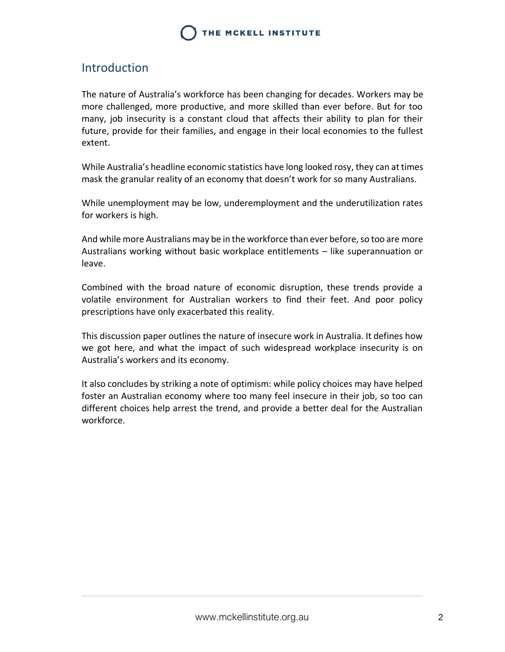### <span id="page-2-0"></span>Introduction

The nature of Australia's workforce has been changing for decades. Workers may be more challenged, more productive, and more skilled than ever before. But for too many, job insecurity is a constant cloud that affects their ability to plan for their future, provide for their families, and engage in their local economies to the fullest extent.

While Australia's headline economic statistics have long looked rosy, they can at times mask the granular reality of an economy that doesn't work for so many Australians.

While unemployment may be low, underemployment and the underutilization rates for workers is high.

And while more Australians may be in the workforce than ever before, so too are more Australians working without basic workplace entitlements – like superannuation or leave.

Combined with the broad nature of economic disruption, these trends provide a volatile environment for Australian workers to find their feet. And poor policy prescriptions have only exacerbated this reality.

This discussion paper outlines the nature of insecure work in Australia. It defines how we got here, and what the impact of such widespread workplace insecurity is on Australia's workers and its economy.

It also concludes by striking a note of optimism: while policy choices may have helped foster an Australian economy where too many feel insecure in their job, so too can different choices help arrest the trend, and provide a better deal for the Australian workforce.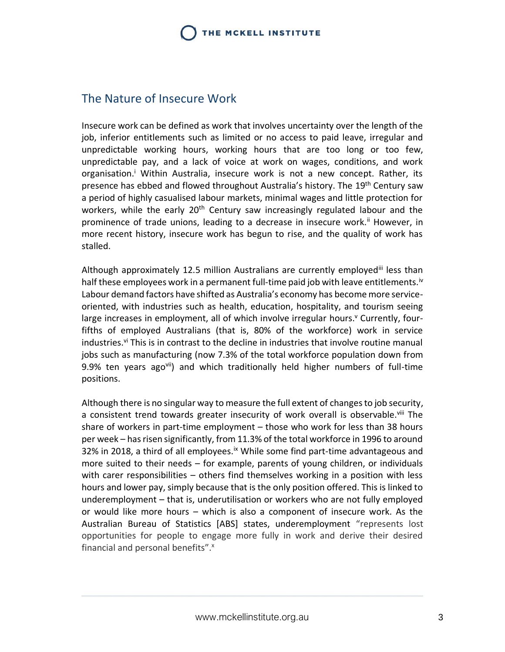### <span id="page-3-0"></span>The Nature of Insecure Work

Insecure work can be defined as work that involves uncertainty over the length of the job, inferior entitlements such as limited or no access to paid leave, irregular and unpredictable working hours, working hours that are too long or too few, unpredictable pay, and a lack of voice at work on wages, conditions, and work organisation.<sup>i</sup> Within Australia, insecure work is not a new concept. Rather, its presence has ebbed and flowed throughout Australia's history. The 19<sup>th</sup> Century saw a period of highly casualised labour markets, minimal wages and little protection for workers, while the early  $20<sup>th</sup>$  Century saw increasingly regulated labour and the prominence of trade unions, leading to a decrease in insecure work.<sup>ii</sup> However, in more recent history, insecure work has begun to rise, and the quality of work has stalled.

Although approximately 12.5 million Australians are currently employed<sup>iii</sup> less than half these employees work in a permanent full-time paid job with leave entitlements.<sup>iv</sup> Labour demand factors have shifted as Australia's economy has become more serviceoriented, with industries such as health, education, hospitality, and tourism seeing large increases in employment, all of which involve irregular hours.<sup>y</sup> Currently, fourfifths of employed Australians (that is, 80% of the workforce) work in service industries.<sup>vi</sup> This is in contrast to the decline in industries that involve routine manual jobs such as manufacturing (now 7.3% of the total workforce population down from 9.9% ten years agovii) and which traditionally held higher numbers of full-time positions.

Although there is no singular way to measure the full extent of changes to job security, a consistent trend towards greater insecurity of work overall is observable.<sup>viii</sup> The share of workers in part-time employment – those who work for less than 38 hours per week – has risen significantly, from 11.3% of the total workforce in 1996 to around 32% in 2018, a third of all employees.<sup>ix</sup> While some find part-time advantageous and more suited to their needs – for example, parents of young children, or individuals with carer responsibilities – others find themselves working in a position with less hours and lower pay, simply because that is the only position offered. This is linked to underemployment – that is, underutilisation or workers who are not fully employed or would like more hours – which is also a component of insecure work. As the Australian Bureau of Statistics [ABS] states, underemployment "represents lost opportunities for people to engage more fully in work and derive their desired financial and personal benefits".<sup>x</sup>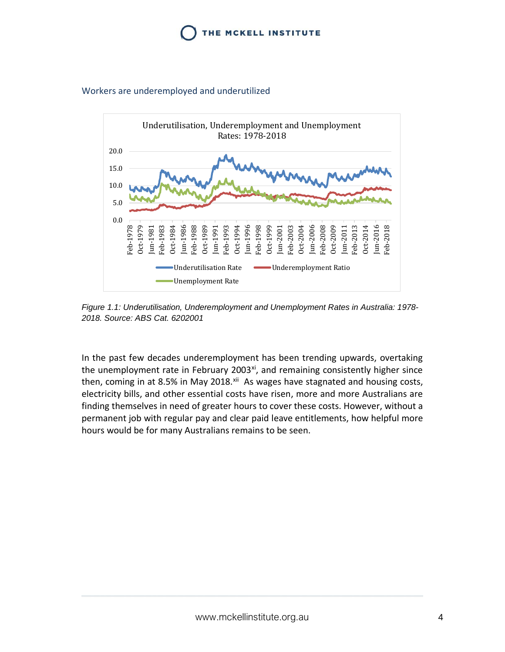

#### <span id="page-4-0"></span>Workers are underemployed and underutilized



*Figure 1.1: Underutilisation, Underemployment and Unemployment Rates in Australia: 1978- 2018. Source: ABS Cat. 6202001*

In the past few decades underemployment has been trending upwards, overtaking the unemployment rate in February 2003<sup>xi</sup>, and remaining consistently higher since then, coming in at 8.5% in May 2018. $x$ <sup>ii</sup> As wages have stagnated and housing costs, electricity bills, and other essential costs have risen, more and more Australians are finding themselves in need of greater hours to cover these costs. However, without a permanent job with regular pay and clear paid leave entitlements, how helpful more hours would be for many Australians remains to be seen.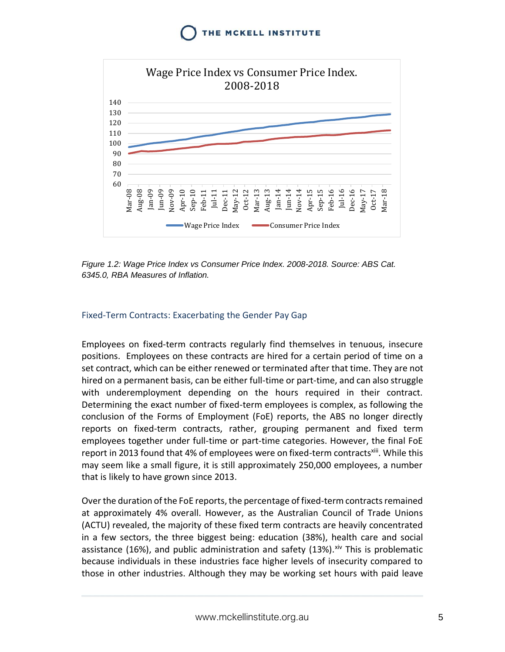

*Figure 1.2: Wage Price Index vs Consumer Price Index. 2008-2018. Source: ABS Cat. 6345.0, RBA Measures of Inflation.* 

#### <span id="page-5-0"></span>Fixed-Term Contracts: Exacerbating the Gender Pay Gap

Employees on fixed-term contracts regularly find themselves in tenuous, insecure positions. Employees on these contracts are hired for a certain period of time on a set contract, which can be either renewed or terminated after that time. They are not hired on a permanent basis, can be either full-time or part-time, and can also struggle with underemployment depending on the hours required in their contract. Determining the exact number of fixed-term employees is complex, as following the conclusion of the Forms of Employment (FoE) reports, the ABS no longer directly reports on fixed-term contracts, rather, grouping permanent and fixed term employees together under full-time or part-time categories. However, the final FoE report in 2013 found that 4% of employees were on fixed-term contracts<sup>xiii</sup>. While this may seem like a small figure, it is still approximately 250,000 employees, a number that is likely to have grown since 2013.

Over the duration of the FoE reports, the percentage of fixed-term contracts remained at approximately 4% overall. However, as the Australian Council of Trade Unions (ACTU) revealed, the majority of these fixed term contracts are heavily concentrated in a few sectors, the three biggest being: education (38%), health care and social assistance (16%), and public administration and safety (13%). $x^i$  This is problematic because individuals in these industries face higher levels of insecurity compared to those in other industries. Although they may be working set hours with paid leave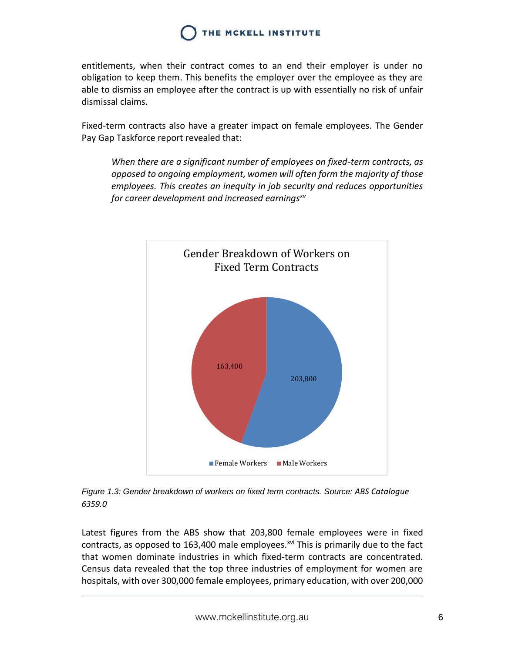entitlements, when their contract comes to an end their employer is under no obligation to keep them. This benefits the employer over the employee as they are able to dismiss an employee after the contract is up with essentially no risk of unfair dismissal claims.

Fixed-term contracts also have a greater impact on female employees. The Gender Pay Gap Taskforce report revealed that:

*When there are a significant number of employees on fixed-term contracts, as opposed to ongoing employment, women will often form the majority of those employees. This creates an inequity in job security and reduces opportunities for career development and increased earningsxv*



*Figure 1.3: Gender breakdown of workers on fixed term contracts. Source: ABS Catalogue 6359.0*

Latest figures from the ABS show that 203,800 female employees were in fixed contracts, as opposed to 163,400 male employees.<sup> $xvi$ </sup> This is primarily due to the fact that women dominate industries in which fixed-term contracts are concentrated. Census data revealed that the top three industries of employment for women are hospitals, with over 300,000 female employees, primary education, with over 200,000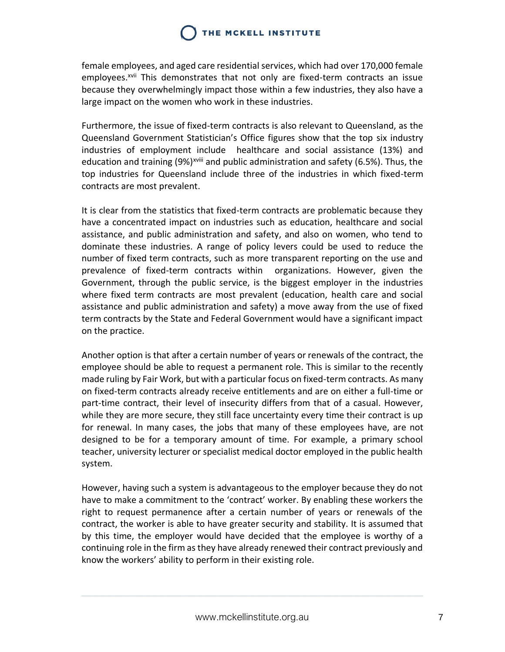female employees, and aged care residential services, which had over 170,000 female employees.<sup>xvii</sup> This demonstrates that not only are fixed-term contracts an issue because they overwhelmingly impact those within a few industries, they also have a large impact on the women who work in these industries.

Furthermore, the issue of fixed-term contracts is also relevant to Queensland, as the Queensland Government Statistician's Office figures show that the top six industry industries of employment include healthcare and social assistance (13%) and education and training (9%)<sup>xviii</sup> and public administration and safety (6.5%). Thus, the top industries for Queensland include three of the industries in which fixed-term contracts are most prevalent.

It is clear from the statistics that fixed-term contracts are problematic because they have a concentrated impact on industries such as education, healthcare and social assistance, and public administration and safety, and also on women, who tend to dominate these industries. A range of policy levers could be used to reduce the number of fixed term contracts, such as more transparent reporting on the use and prevalence of fixed-term contracts within organizations. However, given the Government, through the public service, is the biggest employer in the industries where fixed term contracts are most prevalent (education, health care and social assistance and public administration and safety) a move away from the use of fixed term contracts by the State and Federal Government would have a significant impact on the practice.

Another option is that after a certain number of years or renewals of the contract, the employee should be able to request a permanent role. This is similar to the recently made ruling by Fair Work, but with a particular focus on fixed-term contracts. As many on fixed-term contracts already receive entitlements and are on either a full-time or part-time contract, their level of insecurity differs from that of a casual. However, while they are more secure, they still face uncertainty every time their contract is up for renewal. In many cases, the jobs that many of these employees have, are not designed to be for a temporary amount of time. For example, a primary school teacher, university lecturer or specialist medical doctor employed in the public health system.

However, having such a system is advantageous to the employer because they do not have to make a commitment to the 'contract' worker. By enabling these workers the right to request permanence after a certain number of years or renewals of the contract, the worker is able to have greater security and stability. It is assumed that by this time, the employer would have decided that the employee is worthy of a continuing role in the firm as they have already renewed their contract previously and know the workers' ability to perform in their existing role.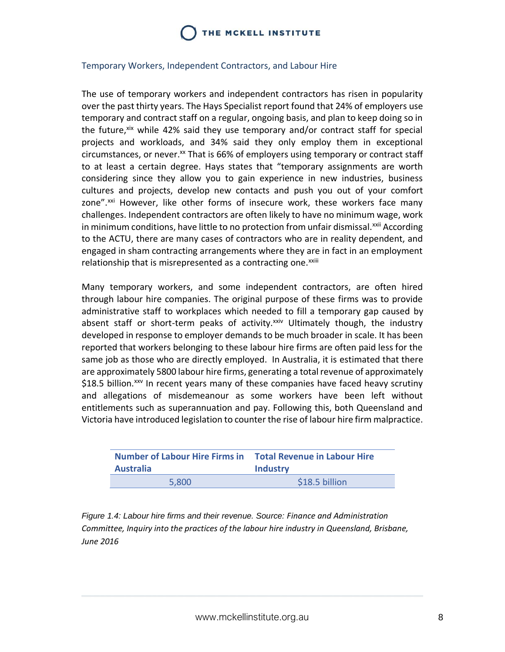#### <span id="page-8-0"></span>Temporary Workers, Independent Contractors, and Labour Hire

The use of temporary workers and independent contractors has risen in popularity over the past thirty years. The Hays Specialist report found that 24% of employers use temporary and contract staff on a regular, ongoing basis, and plan to keep doing so in the future,<sup>xix</sup> while 42% said they use temporary and/or contract staff for special projects and workloads, and 34% said they only employ them in exceptional circumstances, or never.<sup>xx</sup> That is  $66%$  of employers using temporary or contract staff to at least a certain degree. Hays states that "temporary assignments are worth considering since they allow you to gain experience in new industries, business cultures and projects, develop new contacts and push you out of your comfort zone".<sup>xxi</sup> However, like other forms of insecure work, these workers face many challenges. Independent contractors are often likely to have no minimum wage, work in minimum conditions, have little to no protection from unfair dismissal.<sup>xxii</sup> According to the ACTU, there are many cases of contractors who are in reality dependent, and engaged in sham contracting arrangements where they are in fact in an employment relationship that is misrepresented as a contracting one.<sup>xxiii</sup>

Many temporary workers, and some independent contractors, are often hired through labour hire companies. The original purpose of these firms was to provide administrative staff to workplaces which needed to fill a temporary gap caused by absent staff or short-term peaks of activity. $x^{\text{xiv}}$  Ultimately though, the industry developed in response to employer demands to be much broader in scale. It has been reported that workers belonging to these labour hire firms are often paid less for the same job as those who are directly employed. In Australia, it is estimated that there are approximately 5800 labour hire firms, generating a total revenue of approximately \$18.5 billion.<sup>xxv</sup> In recent years many of these companies have faced heavy scrutiny and allegations of misdemeanour as some workers have been left without entitlements such as superannuation and pay. Following this, both Queensland and Victoria have introduced legislation to counter the rise of labour hire firm malpractice.

| <b>Number of Labour Hire Firms in</b> | <b>Total Revenue in Labour Hire</b> |
|---------------------------------------|-------------------------------------|
| <b>Australia</b>                      | <b>Industry</b>                     |
| 5.800                                 | \$18.5 billion                      |

*Figure 1.4: Labour hire firms and their revenue. Source: Finance and Administration Committee, Inquiry into the practices of the labour hire industry in Queensland, Brisbane, June 2016*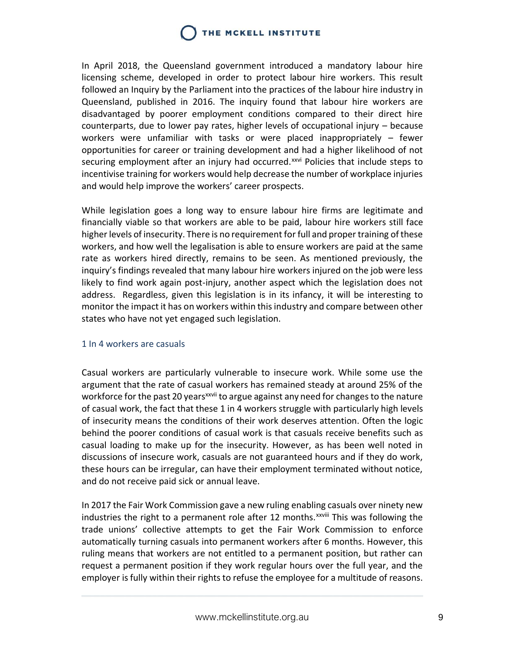In April 2018, the Queensland government introduced a mandatory labour hire licensing scheme, developed in order to protect labour hire workers. This result followed an Inquiry by the Parliament into the practices of the labour hire industry in Queensland, published in 2016. The inquiry found that labour hire workers are disadvantaged by poorer employment conditions compared to their direct hire counterparts, due to lower pay rates, higher levels of occupational injury – because workers were unfamiliar with tasks or were placed inappropriately – fewer opportunities for career or training development and had a higher likelihood of not securing employment after an injury had occurred.<sup>xxvi</sup> Policies that include steps to incentivise training for workers would help decrease the number of workplace injuries and would help improve the workers' career prospects.

While legislation goes a long way to ensure labour hire firms are legitimate and financially viable so that workers are able to be paid, labour hire workers still face higher levels of insecurity. There is no requirement for full and proper training of these workers, and how well the legalisation is able to ensure workers are paid at the same rate as workers hired directly, remains to be seen. As mentioned previously, the inquiry's findings revealed that many labour hire workers injured on the job were less likely to find work again post-injury, another aspect which the legislation does not address. Regardless, given this legislation is in its infancy, it will be interesting to monitor the impact it has on workers within this industry and compare between other states who have not yet engaged such legislation.

#### <span id="page-9-0"></span>1 In 4 workers are casuals

Casual workers are particularly vulnerable to insecure work. While some use the argument that the rate of casual workers has remained steady at around 25% of the workforce for the past 20 years<sup>xxvii</sup> to argue against any need for changes to the nature of casual work, the fact that these 1 in 4 workers struggle with particularly high levels of insecurity means the conditions of their work deserves attention. Often the logic behind the poorer conditions of casual work is that casuals receive benefits such as casual loading to make up for the insecurity. However, as has been well noted in discussions of insecure work, casuals are not guaranteed hours and if they do work, these hours can be irregular, can have their employment terminated without notice, and do not receive paid sick or annual leave.

In 2017 the Fair Work Commission gave a new ruling enabling casuals over ninety new industries the right to a permanent role after 12 months.<sup> $xxi$ </sup> This was following the trade unions' collective attempts to get the Fair Work Commission to enforce automatically turning casuals into permanent workers after 6 months. However, this ruling means that workers are not entitled to a permanent position, but rather can request a permanent position if they work regular hours over the full year, and the employer is fully within their rights to refuse the employee for a multitude of reasons.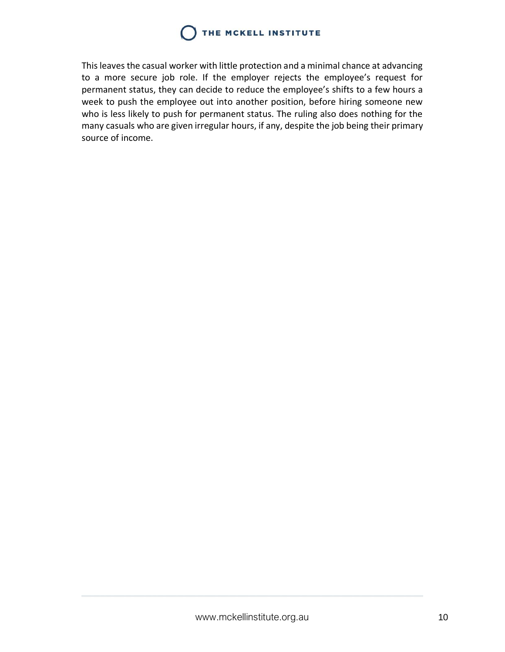This leaves the casual worker with little protection and a minimal chance at advancing to a more secure job role. If the employer rejects the employee's request for permanent status, they can decide to reduce the employee's shifts to a few hours a week to push the employee out into another position, before hiring someone new who is less likely to push for permanent status. The ruling also does nothing for the many casuals who are given irregular hours, if any, despite the job being their primary source of income.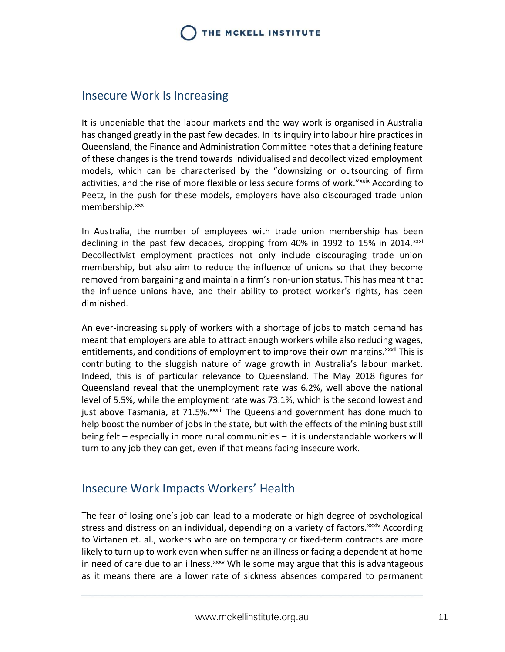#### <span id="page-11-0"></span>Insecure Work Is Increasing

It is undeniable that the labour markets and the way work is organised in Australia has changed greatly in the past few decades. In its inquiry into labour hire practices in Queensland, the Finance and Administration Committee notes that a defining feature of these changes is the trend towards individualised and decollectivized employment models, which can be characterised by the "downsizing or outsourcing of firm activities, and the rise of more flexible or less secure forms of work."<sup>xxix</sup> According to Peetz, in the push for these models, employers have also discouraged trade union membership.<sup>xxx</sup>

In Australia, the number of employees with trade union membership has been declining in the past few decades, dropping from 40% in 1992 to 15% in 2014.<sup>xxxi</sup> Decollectivist employment practices not only include discouraging trade union membership, but also aim to reduce the influence of unions so that they become removed from bargaining and maintain a firm's non-union status. This has meant that the influence unions have, and their ability to protect worker's rights, has been diminished.

An ever-increasing supply of workers with a shortage of jobs to match demand has meant that employers are able to attract enough workers while also reducing wages, entitlements, and conditions of employment to improve their own margins.<sup>xxxii</sup> This is contributing to the sluggish nature of wage growth in Australia's labour market. Indeed, this is of particular relevance to Queensland. The May 2018 figures for Queensland reveal that the unemployment rate was 6.2%, well above the national level of 5.5%, while the employment rate was 73.1%, which is the second lowest and just above Tasmania, at 71.5%. XXXIII The Queensland government has done much to help boost the number of jobs in the state, but with the effects of the mining bust still being felt – especially in more rural communities – it is understandable workers will turn to any job they can get, even if that means facing insecure work.

#### <span id="page-11-1"></span>Insecure Work Impacts Workers' Health

The fear of losing one's job can lead to a moderate or high degree of psychological stress and distress on an individual, depending on a variety of factors.<sup>xxxiv</sup> According to Virtanen et. al., workers who are on temporary or fixed-term contracts are more likely to turn up to work even when suffering an illness or facing a dependent at home in need of care due to an illness.<sup>xxxv</sup> While some may argue that this is advantageous as it means there are a lower rate of sickness absences compared to permanent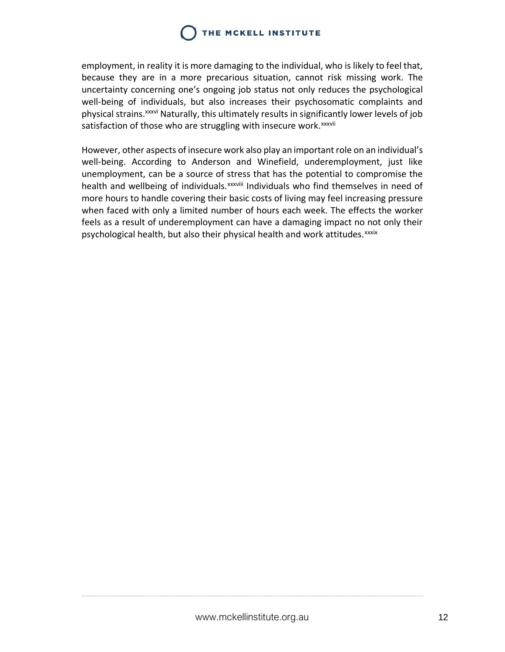employment, in reality it is more damaging to the individual, who is likely to feel that, because they are in a more precarious situation, cannot risk missing work. The uncertainty concerning one's ongoing job status not only reduces the psychological well-being of individuals, but also increases their psychosomatic complaints and physical strains.xxxvi Naturally, this ultimately results in significantly lower levels of job satisfaction of those who are struggling with insecure work. xxxvii

However, other aspects of insecure work also play an important role on an individual's well-being. According to Anderson and Winefield, underemployment, just like unemployment, can be a source of stress that has the potential to compromise the health and wellbeing of individuals.<sup>xxxviii</sup> Individuals who find themselves in need of more hours to handle covering their basic costs of living may feel increasing pressure when faced with only a limited number of hours each week. The effects the worker feels as a result of underemployment can have a damaging impact no not only their psychological health, but also their physical health and work attitudes.<sup>xxxix</sup>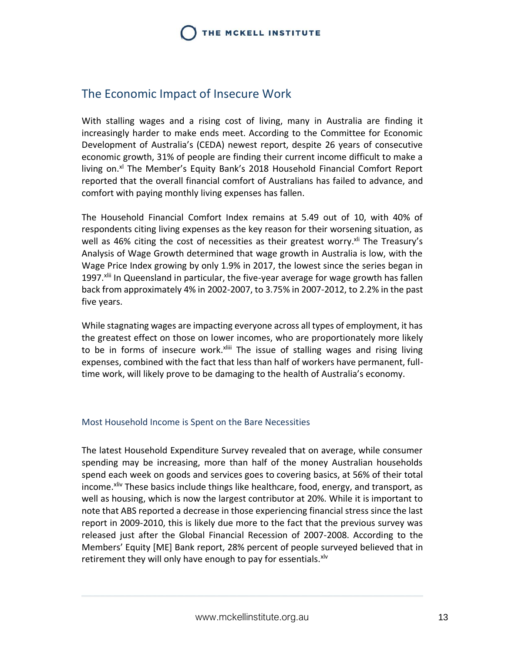#### <span id="page-13-0"></span>The Economic Impact of Insecure Work

With stalling wages and a rising cost of living, many in Australia are finding it increasingly harder to make ends meet. According to the Committee for Economic Development of Australia's (CEDA) newest report, despite 26 years of consecutive economic growth, 31% of people are finding their current income difficult to make a living on. $x<sup>i</sup>$  The Member's Equity Bank's 2018 Household Financial Comfort Report reported that the overall financial comfort of Australians has failed to advance, and comfort with paying monthly living expenses has fallen.

The Household Financial Comfort Index remains at 5.49 out of 10, with 40% of respondents citing living expenses as the key reason for their worsening situation, as well as 46% citing the cost of necessities as their greatest worry.<sup>xli</sup> The Treasury's Analysis of Wage Growth determined that wage growth in Australia is low, with the Wage Price Index growing by only 1.9% in 2017, the lowest since the series began in 1997.<sup>xlii</sup> In Queensland in particular, the five-year average for wage growth has fallen back from approximately 4% in 2002-2007, to 3.75% in 2007-2012, to 2.2% in the past five years.

While stagnating wages are impacting everyone across all types of employment, it has the greatest effect on those on lower incomes, who are proportionately more likely to be in forms of insecure work.<sup>xliii</sup> The issue of stalling wages and rising living expenses, combined with the fact that less than half of workers have permanent, fulltime work, will likely prove to be damaging to the health of Australia's economy.

#### <span id="page-13-1"></span>Most Household Income is Spent on the Bare Necessities

The latest Household Expenditure Survey revealed that on average, while consumer spending may be increasing, more than half of the money Australian households spend each week on goods and services goes to covering basics, at 56% of their total income.<sup>xliv</sup> These basics include things like healthcare, food, energy, and transport, as well as housing, which is now the largest contributor at 20%. While it is important to note that ABS reported a decrease in those experiencing financial stress since the last report in 2009-2010, this is likely due more to the fact that the previous survey was released just after the Global Financial Recession of 2007-2008. According to the Members' Equity [ME] Bank report, 28% percent of people surveyed believed that in retirement they will only have enough to pay for essentials.<sup>xlv</sup>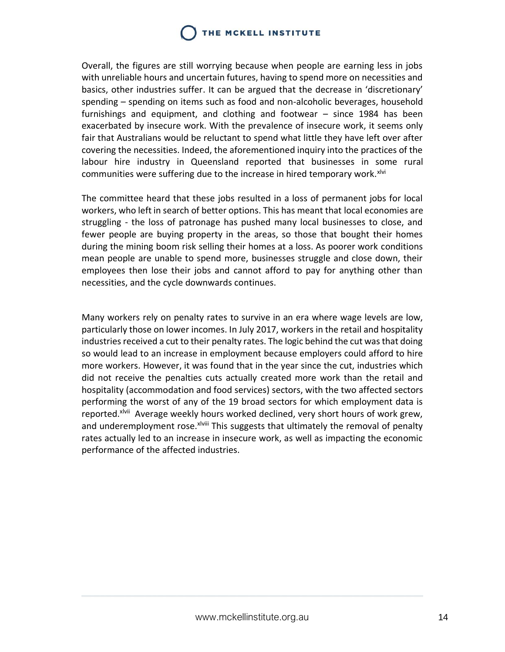Overall, the figures are still worrying because when people are earning less in jobs with unreliable hours and uncertain futures, having to spend more on necessities and basics, other industries suffer. It can be argued that the decrease in 'discretionary' spending – spending on items such as food and non-alcoholic beverages, household furnishings and equipment, and clothing and footwear – since 1984 has been exacerbated by insecure work. With the prevalence of insecure work, it seems only fair that Australians would be reluctant to spend what little they have left over after covering the necessities. Indeed, the aforementioned inquiry into the practices of the labour hire industry in Queensland reported that businesses in some rural communities were suffering due to the increase in hired temporary work. XIVI

The committee heard that these jobs resulted in a loss of permanent jobs for local workers, who left in search of better options. This has meant that local economies are struggling - the loss of patronage has pushed many local businesses to close, and fewer people are buying property in the areas, so those that bought their homes during the mining boom risk selling their homes at a loss. As poorer work conditions mean people are unable to spend more, businesses struggle and close down, their employees then lose their jobs and cannot afford to pay for anything other than necessities, and the cycle downwards continues.

Many workers rely on penalty rates to survive in an era where wage levels are low, particularly those on lower incomes. In July 2017, workers in the retail and hospitality industries received a cut to their penalty rates. The logic behind the cut was that doing so would lead to an increase in employment because employers could afford to hire more workers. However, it was found that in the year since the cut, industries which did not receive the penalties cuts actually created more work than the retail and hospitality (accommodation and food services) sectors, with the two affected sectors performing the worst of any of the 19 broad sectors for which employment data is reported.<sup>xlvii</sup> Average weekly hours worked declined, very short hours of work grew, and underemployment rose. xlviii This suggests that ultimately the removal of penalty rates actually led to an increase in insecure work, as well as impacting the economic performance of the affected industries.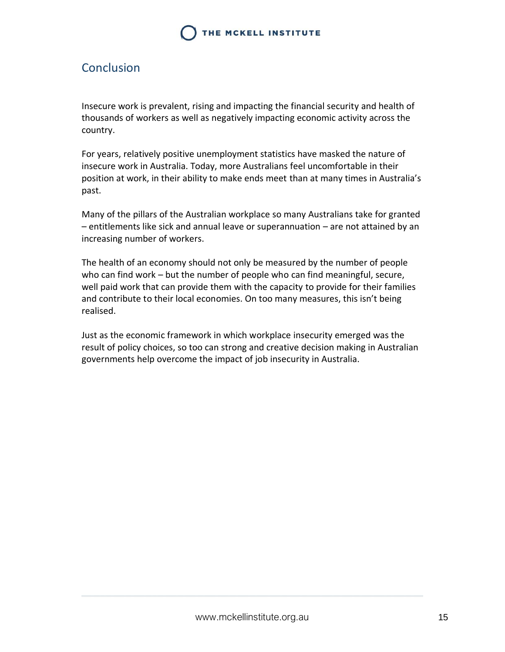### <span id="page-15-0"></span>Conclusion

Insecure work is prevalent, rising and impacting the financial security and health of thousands of workers as well as negatively impacting economic activity across the country.

For years, relatively positive unemployment statistics have masked the nature of insecure work in Australia. Today, more Australians feel uncomfortable in their position at work, in their ability to make ends meet than at many times in Australia's past.

Many of the pillars of the Australian workplace so many Australians take for granted – entitlements like sick and annual leave or superannuation – are not attained by an increasing number of workers.

The health of an economy should not only be measured by the number of people who can find work – but the number of people who can find meaningful, secure, well paid work that can provide them with the capacity to provide for their families and contribute to their local economies. On too many measures, this isn't being realised.

Just as the economic framework in which workplace insecurity emerged was the result of policy choices, so too can strong and creative decision making in Australian governments help overcome the impact of job insecurity in Australia.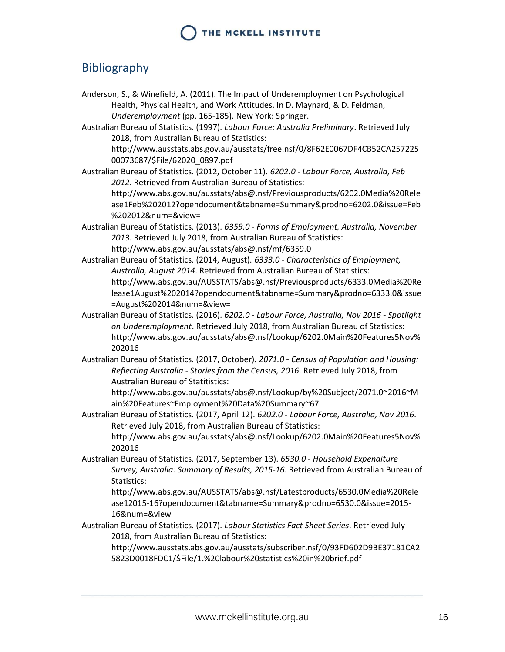### <span id="page-16-0"></span>Bibliography

- Anderson, S., & Winefield, A. (2011). The Impact of Underemployment on Psychological Health, Physical Health, and Work Attitudes. In D. Maynard, & D. Feldman, *Underemployment* (pp. 165-185). New York: Springer.
- Australian Bureau of Statistics. (1997). *Labour Force: Australia Preliminary*. Retrieved July 2018, from Australian Bureau of Statistics:

http://www.ausstats.abs.gov.au/ausstats/free.nsf/0/8F62E0067DF4CB52CA257225 00073687/\$File/62020\_0897.pdf

Australian Bureau of Statistics. (2012, October 11). *6202.0 - Labour Force, Australia, Feb 2012*. Retrieved from Australian Bureau of Statistics:

http://www.abs.gov.au/ausstats/abs@.nsf/Previousproducts/6202.0Media%20Rele ase1Feb%202012?opendocument&tabname=Summary&prodno=6202.0&issue=Feb %202012&num=&view=

Australian Bureau of Statistics. (2013). *6359.0 - Forms of Employment, Australia, November 2013*. Retrieved July 2018, from Australian Bureau of Statistics: http://www.abs.gov.au/ausstats/abs@.nsf/mf/6359.0

Australian Bureau of Statistics. (2014, August). *6333.0 - Characteristics of Employment, Australia, August 2014*. Retrieved from Australian Bureau of Statistics: http://www.abs.gov.au/AUSSTATS/abs@.nsf/Previousproducts/6333.0Media%20Re lease1August%202014?opendocument&tabname=Summary&prodno=6333.0&issue =August%202014&num=&view=

Australian Bureau of Statistics. (2016). *6202.0 - Labour Force, Australia, Nov 2016 - Spotlight on Underemployment*. Retrieved July 2018, from Australian Bureau of Statistics: http://www.abs.gov.au/ausstats/abs@.nsf/Lookup/6202.0Main%20Features5Nov% 202016

Australian Bureau of Statistics. (2017, October). *2071.0 - Census of Population and Housing: Reflecting Australia - Stories from the Census, 2016*. Retrieved July 2018, from Australian Bureau of Statitistics:

http://www.abs.gov.au/ausstats/abs@.nsf/Lookup/by%20Subject/2071.0~2016~M ain%20Features~Employment%20Data%20Summary~67

- Australian Bureau of Statistics. (2017, April 12). *6202.0 - Labour Force, Australia, Nov 2016*. Retrieved July 2018, from Australian Bureau of Statistics: http://www.abs.gov.au/ausstats/abs@.nsf/Lookup/6202.0Main%20Features5Nov% 202016
- Australian Bureau of Statistics. (2017, September 13). *6530.0 - Household Expenditure Survey, Australia: Summary of Results, 2015-16*. Retrieved from Australian Bureau of Statistics:

http://www.abs.gov.au/AUSSTATS/abs@.nsf/Latestproducts/6530.0Media%20Rele ase12015-16?opendocument&tabname=Summary&prodno=6530.0&issue=2015- 16&num=&view

Australian Bureau of Statistics. (2017). *Labour Statistics Fact Sheet Series*. Retrieved July 2018, from Australian Bureau of Statistics:

http://www.ausstats.abs.gov.au/ausstats/subscriber.nsf/0/93FD602D9BE37181CA2 5823D0018FDC1/\$File/1.%20labour%20statistics%20in%20brief.pdf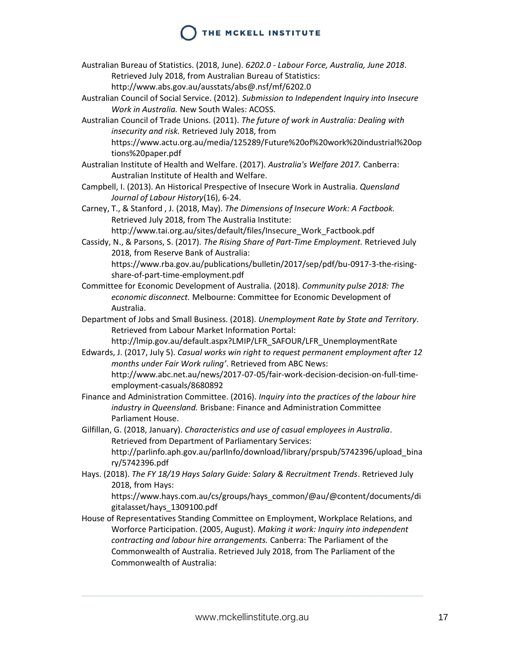- Australian Bureau of Statistics. (2018, June). *6202.0 - Labour Force, Australia, June 2018*. Retrieved July 2018, from Australian Bureau of Statistics:
	- http://www.abs.gov.au/ausstats/abs@.nsf/mf/6202.0
- Australian Council of Social Service. (2012). *Submission to Independent Inquiry into Insecure Work in Australia.* New South Wales: ACOSS.
- Australian Council of Trade Unions. (2011). *The future of work in Australia: Dealing with insecurity and risk.* Retrieved July 2018, from
	- https://www.actu.org.au/media/125289/Future%20of%20work%20industrial%20op tions%20paper.pdf
- Australian Institute of Health and Welfare. (2017). *Australia's Welfare 2017.* Canberra: Australian Institute of Health and Welfare.
- Campbell, I. (2013). An Historical Prespective of Insecure Work in Australia. *Quensland Journal of Labour History*(16), 6-24.
- Carney, T., & Stanford , J. (2018, May). *The Dimensions of Insecure Work: A Factbook.* Retrieved July 2018, from The Australia Institute:

http://www.tai.org.au/sites/default/files/Insecure\_Work\_Factbook.pdf

Cassidy, N., & Parsons, S. (2017). *The Rising Share of Part-Time Employment.* Retrieved July 2018, from Reserve Bank of Australia:

https://www.rba.gov.au/publications/bulletin/2017/sep/pdf/bu-0917-3-the-risingshare-of-part-time-employment.pdf

- Committee for Economic Development of Australia. (2018). *Community pulse 2018: The economic disconnect.* Melbourne: Committee for Economic Development of Australia.
- Department of Jobs and Small Business. (2018). *Unemployment Rate by State and Territory*. Retrieved from Labour Market Information Portal:

http://lmip.gov.au/default.aspx?LMIP/LFR\_SAFOUR/LFR\_UnemploymentRate

- Edwards, J. (2017, July 5). *Casual works win right to request permanent employment after 12 months under Fair Work ruling'*. Retrieved from ABC News: http://www.abc.net.au/news/2017-07-05/fair-work-decision-decision-on-full-timeemployment-casuals/8680892
- Finance and Administration Committee. (2016). *Inquiry into the practices of the labour hire industry in Queensland.* Brisbane: Finance and Administration Committee Parliament House.

Gilfillan, G. (2018, January). *Characteristics and use of casual employees in Australia*. Retrieved from Department of Parliamentary Services: http://parlinfo.aph.gov.au/parlInfo/download/library/prspub/5742396/upload\_bina ry/5742396.pdf

Hays. (2018). *The FY 18/19 Hays Salary Guide: Salary & Recruitment Trends*. Retrieved July 2018, from Hays:

https://www.hays.com.au/cs/groups/hays\_common/@au/@content/documents/di gitalasset/hays\_1309100.pdf

House of Representatives Standing Committee on Employment, Workplace Relations, and Worforce Participation. (2005, August). *Making it work: Inquiry into independent contracting and labour hire arrangements.* Canberra: The Parliament of the Commonwealth of Australia. Retrieved July 2018, from The Parliament of the Commonwealth of Australia: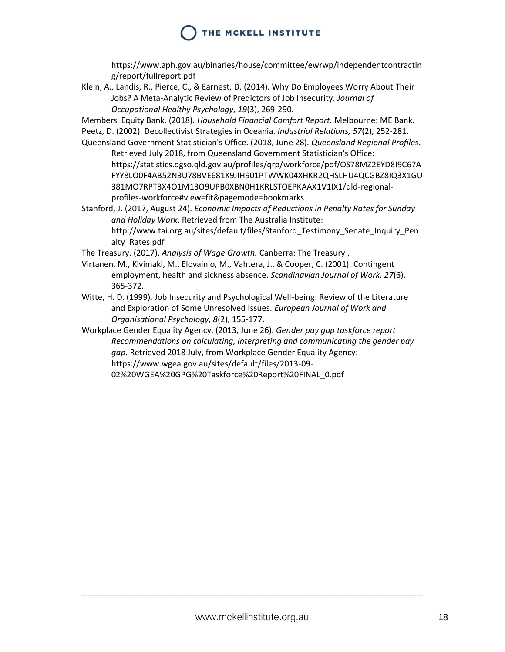https://www.aph.gov.au/binaries/house/committee/ewrwp/independentcontractin g/report/fullreport.pdf

Klein, A., Landis, R., Pierce, C., & Earnest, D. (2014). Why Do Employees Worry About Their Jobs? A Meta-Analytic Review of Predictors of Job Insecurity. *Journal of Occupational Healthy Psychology, 19*(3), 269-290.

Members' Equity Bank. (2018). *Household Financial Comfort Report.* Melbourne: ME Bank.

- Peetz, D. (2002). Decollectivist Strategies in Oceania. *Industrial Relations, 57*(2), 252-281.
- Queensland Government Statistician's Office. (2018, June 28). *Queensland Regional Profiles*. Retrieved July 2018, from Queensland Government Statistician's Office: https://statistics.qgso.qld.gov.au/profiles/qrp/workforce/pdf/OS78MZ2EYD8I9C67A FYY8LO0F4AB52N3U78BVE681K9JIH901PTWWK04XHKR2QHSLHU4QCGBZ8IQ3X1GU 381MO7RPT3X4O1M13O9UPB0XBN0H1KRLSTOEPKAAX1V1IX1/qld-regionalprofiles-workforce#view=fit&pagemode=bookmarks

Stanford, J. (2017, August 24). *Economic Impacts of Reductions in Penalty Rates for Sunday and Holiday Work*. Retrieved from The Australia Institute: http://www.tai.org.au/sites/default/files/Stanford\_Testimony\_Senate\_Inquiry\_Pen alty\_Rates.pdf

The Treasury. (2017). *Analysis of Wage Growth.* Canberra: The Treasury .

- Virtanen, M., Kivimaki, M., Elovainio, M., Vahtera, J., & Cooper, C. (2001). Contingent employment, health and sickness absence. *Scandinavian Journal of Work, 27*(6), 365-372.
- Witte, H. D. (1999). Job Insecurity and Psychological Well-being: Review of the Literature and Exploration of Some Unresolved Issues. *European Journal of Work and Organisational Psychology, 8*(2), 155-177.
- <span id="page-18-0"></span>Workplace Gender Equality Agency. (2013, June 26). *Gender pay gap taskforce report Recommendations on calculating, interpreting and communicating the gender pay gap*. Retrieved 2018 July, from Workplace Gender Equality Agency: https://www.wgea.gov.au/sites/default/files/2013-09- 02%20WGEA%20GPG%20Taskforce%20Report%20FINAL\_0.pdf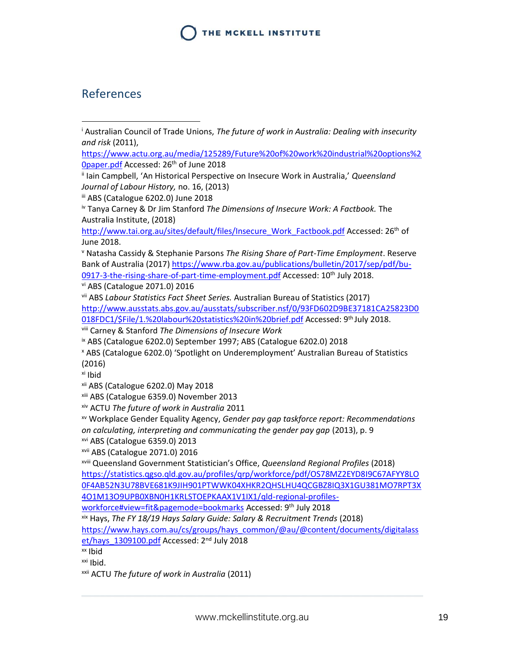### References

 $\overline{a}$ 

[https://www.actu.org.au/media/125289/Future%20of%20work%20industrial%20options%2](https://www.actu.org.au/media/125289/Future%20of%20work%20industrial%20options%20paper.pdf) [0paper.pdf](https://www.actu.org.au/media/125289/Future%20of%20work%20industrial%20options%20paper.pdf) Accessed: 26th of June 2018

ii Iain Campbell, 'An Historical Perspective on Insecure Work in Australia,' *Queensland Journal of Labour History,* no. 16, (2013)

iii ABS (Catalogue 6202.0) June 2018

iv Tanya Carney & Dr Jim Stanford *The Dimensions of Insecure Work: A Factbook.* The Australia Institute, (2018)

[http://www.tai.org.au/sites/default/files/Insecure\\_Work\\_Factbook.pdf](http://www.tai.org.au/sites/default/files/Insecure_Work_Factbook.pdf) Accessed: 26<sup>th</sup> of June 2018.

<sup>v</sup> Natasha Cassidy & Stephanie Parsons *The Rising Share of Part-Time Employment*. Reserve Bank of Australia (2017[\) https://www.rba.gov.au/publications/bulletin/2017/sep/pdf/bu-](https://www.rba.gov.au/publications/bulletin/2017/sep/pdf/bu-0917-3-the-rising-share-of-part-time-employment.pdf)[0917-3-the-rising-share-of-part-time-employment.pdf](https://www.rba.gov.au/publications/bulletin/2017/sep/pdf/bu-0917-3-the-rising-share-of-part-time-employment.pdf) Accessed: 10<sup>th</sup> July 2018. vi ABS (Catalogue 2071.0) 2016

vii ABS *Labour Statistics Fact Sheet Series.* Australian Bureau of Statistics (2017) [http://www.ausstats.abs.gov.au/ausstats/subscriber.nsf/0/93FD602D9BE37181CA25823D0](http://www.ausstats.abs.gov.au/ausstats/subscriber.nsf/0/93FD602D9BE37181CA25823D0018FDC1/$File/1.%20labour%20statistics%20in%20brief.pdf) [018FDC1/\\$File/1.%20labour%20statistics%20in%20brief.pdf](http://www.ausstats.abs.gov.au/ausstats/subscriber.nsf/0/93FD602D9BE37181CA25823D0018FDC1/$File/1.%20labour%20statistics%20in%20brief.pdf) Accessed: 9th July 2018.

viii Carney & Stanford *The Dimensions of Insecure Work*

ix ABS (Catalogue 6202.0) September 1997; ABS (Catalogue 6202.0) 2018

<sup>x</sup> ABS (Catalogue 6202.0) 'Spotlight on Underemployment' Australian Bureau of Statistics (2016)

xi Ibid

xii ABS (Catalogue 6202.0) May 2018

xiii ABS (Catalogue 6359.0) November 2013

xiv ACTU *The future of work in Australia* 2011

xv Workplace Gender Equality Agency, *Gender pay gap taskforce report: Recommendations on calculating, interpreting and communicating the gender pay gap* (2013), p. 9

xvi ABS (Catalogue 6359.0) 2013

xvii ABS (Catalogue 2071.0) 2016

xviii Queensland Government Statistician's Office, *Queensland Regional Profiles* (2018)

[https://statistics.qgso.qld.gov.au/profiles/qrp/workforce/pdf/OS78MZ2EYD8I9C67AFYY8LO](https://statistics.qgso.qld.gov.au/profiles/qrp/workforce/pdf/OS78MZ2EYD8I9C67AFYY8LO0F4AB52N3U78BVE681K9JIH901PTWWK04XHKR2QHSLHU4QCGBZ8IQ3X1GU381MO7RPT3X4O1M13O9UPB0XBN0H1KRLSTOEPKAAX1V1IX1/qld-regional-profiles-workforce#view=fit&pagemode=bookmarks) [0F4AB52N3U78BVE681K9JIH901PTWWK04XHKR2QHSLHU4QCGBZ8IQ3X1GU381MO7RPT3X](https://statistics.qgso.qld.gov.au/profiles/qrp/workforce/pdf/OS78MZ2EYD8I9C67AFYY8LO0F4AB52N3U78BVE681K9JIH901PTWWK04XHKR2QHSLHU4QCGBZ8IQ3X1GU381MO7RPT3X4O1M13O9UPB0XBN0H1KRLSTOEPKAAX1V1IX1/qld-regional-profiles-workforce#view=fit&pagemode=bookmarks) [4O1M13O9UPB0XBN0H1KRLSTOEPKAAX1V1IX1/qld-regional-profiles-](https://statistics.qgso.qld.gov.au/profiles/qrp/workforce/pdf/OS78MZ2EYD8I9C67AFYY8LO0F4AB52N3U78BVE681K9JIH901PTWWK04XHKR2QHSLHU4QCGBZ8IQ3X1GU381MO7RPT3X4O1M13O9UPB0XBN0H1KRLSTOEPKAAX1V1IX1/qld-regional-profiles-workforce#view=fit&pagemode=bookmarks)

[workforce#view=fit&pagemode=bookmarks](https://statistics.qgso.qld.gov.au/profiles/qrp/workforce/pdf/OS78MZ2EYD8I9C67AFYY8LO0F4AB52N3U78BVE681K9JIH901PTWWK04XHKR2QHSLHU4QCGBZ8IQ3X1GU381MO7RPT3X4O1M13O9UPB0XBN0H1KRLSTOEPKAAX1V1IX1/qld-regional-profiles-workforce#view=fit&pagemode=bookmarks) Accessed: 9th July 2018

xix Hays, *The FY 18/19 Hays Salary Guide: Salary & Recruitment Trends* (2018)

[https://www.hays.com.au/cs/groups/hays\\_common/@au/@content/documents/digitalass](https://www.hays.com.au/cs/groups/hays_common/@au/@content/documents/digitalasset/hays_1309100.pdf) et/hays 1309100.pdf Accessed: 2<sup>nd</sup> July 2018

xx Ibid

 $xxi$  Ibid.

xxii ACTU *The future of work in Australia* (2011)

<sup>i</sup> Australian Council of Trade Unions, *The future of work in Australia: Dealing with insecurity and risk* (2011),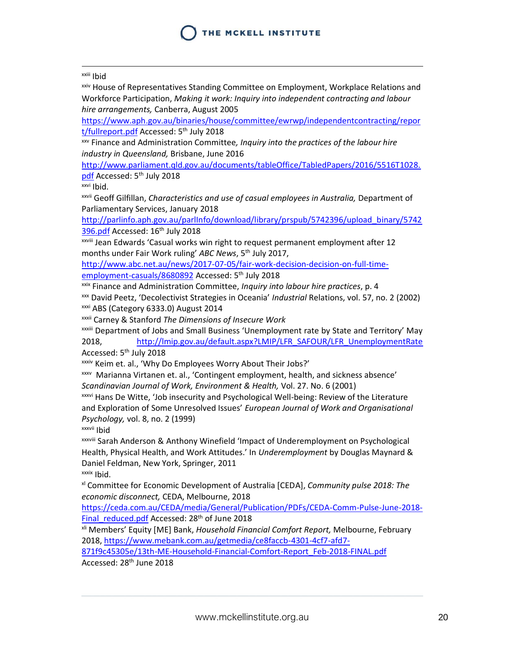#### xxiii Ibid

 $\overline{a}$ 

xxiv House of Representatives Standing Committee on Employment, Workplace Relations and Workforce Participation, *Making it work: Inquiry into independent contracting and labour hire arrangements,* Canberra, August 2005

[https://www.aph.gov.au/binaries/house/committee/ewrwp/independentcontracting/repor](https://www.aph.gov.au/binaries/house/committee/ewrwp/independentcontracting/report/fullreport.pdf) [t/fullreport.pdf](https://www.aph.gov.au/binaries/house/committee/ewrwp/independentcontracting/report/fullreport.pdf) Accessed: 5<sup>th</sup> July 2018

xxv Finance and Administration Committee*, Inquiry into the practices of the labour hire industry in Queensland,* Brisbane, June 2016

[http://www.parliament.qld.gov.au/documents/tableOffice/TabledPapers/2016/5516T1028.](http://www.parliament.qld.gov.au/documents/tableOffice/TabledPapers/2016/5516T1028.pdf) [pdf](http://www.parliament.qld.gov.au/documents/tableOffice/TabledPapers/2016/5516T1028.pdf) Accessed: 5th July 2018

xxvi Ibid.

xxvii Geoff Gilfillan, *Characteristics and use of casual employees in Australia,* Department of Parliamentary Services, January 2018

[http://parlinfo.aph.gov.au/parlInfo/download/library/prspub/5742396/upload\\_binary/5742](http://parlinfo.aph.gov.au/parlInfo/download/library/prspub/5742396/upload_binary/5742396.pdf) [396.pdf](http://parlinfo.aph.gov.au/parlInfo/download/library/prspub/5742396/upload_binary/5742396.pdf) Accessed: 16<sup>th</sup> July 2018

xxviii Jean Edwards 'Casual works win right to request permanent employment after 12 months under Fair Work ruling' ABC News, 5<sup>th</sup> July 2017,

[http://www.abc.net.au/news/2017-07-05/fair-work-decision-decision-on-full-time](http://www.abc.net.au/news/2017-07-05/fair-work-decision-decision-on-full-time-employment-casuals/8680892)[employment-casuals/8680892](http://www.abc.net.au/news/2017-07-05/fair-work-decision-decision-on-full-time-employment-casuals/8680892) Accessed: 5<sup>th</sup> July 2018

xxix Finance and Administration Committee, *Inquiry into labour hire practices*, p. 4

xxx David Peetz, 'Decolectivist Strategies in Oceania' *Industrial* Relations, vol. 57, no. 2 (2002)

xxxi ABS (Category 6333.0) August 2014

xxxii Carney & Stanford *The Dimensions of Insecure Work*

xxxiii Department of Jobs and Small Business 'Unemployment rate by State and Territory' May 2018, [http://lmip.gov.au/default.aspx?LMIP/LFR\\_SAFOUR/LFR\\_UnemploymentRate](http://lmip.gov.au/default.aspx?LMIP/LFR_SAFOUR/LFR_UnemploymentRate) Accessed: 5th July 2018

xxxiv Keim et. al., 'Why Do Employees Worry About Their Jobs?'

xxxv Marianna Virtanen et. al., 'Contingent employment, health, and sickness absence' *Scandinavian Journal of Work, Environment & Health,* Vol. 27. No. 6 (2001)

xxxvi Hans De Witte, 'Job insecurity and Psychological Well-being: Review of the Literature and Exploration of Some Unresolved Issues' *European Journal of Work and Organisational Psychology,* vol. 8, no. 2 (1999)

xxxvii Ibid

xxxviii Sarah Anderson & Anthony Winefield 'Impact of Underemployment on Psychological Health, Physical Health, and Work Attitudes.' In *Underemployment* by Douglas Maynard & Daniel Feldman, New York, Springer, 2011

xxxix Ibid.

xl Committee for Economic Development of Australia [CEDA], *Community pulse 2018: The economic disconnect,* CEDA, Melbourne, 2018

[https://ceda.com.au/CEDA/media/General/Publication/PDFs/CEDA-Comm-Pulse-June-2018-](https://ceda.com.au/CEDA/media/General/Publication/PDFs/CEDA-Comm-Pulse-June-2018-Final_reduced.pdf) [Final\\_reduced.pdf](https://ceda.com.au/CEDA/media/General/Publication/PDFs/CEDA-Comm-Pulse-June-2018-Final_reduced.pdf) Accessed: 28<sup>th</sup> of June 2018

xli Members' Equity [ME] Bank, *Household Financial Comfort Report,* Melbourne, February 2018, [https://www.mebank.com.au/getmedia/ce8faccb-4301-4cf7-afd7-](https://www.mebank.com.au/getmedia/ce8faccb-4301-4cf7-afd7-871f9c45305e/13th-ME-Household-Financial-Comfort-Report_Feb-2018-FINAL.pdf)

[871f9c45305e/13th-ME-Household-Financial-Comfort-Report\\_Feb-2018-FINAL.pdf](https://www.mebank.com.au/getmedia/ce8faccb-4301-4cf7-afd7-871f9c45305e/13th-ME-Household-Financial-Comfort-Report_Feb-2018-FINAL.pdf) Accessed: 28<sup>th</sup> June 2018